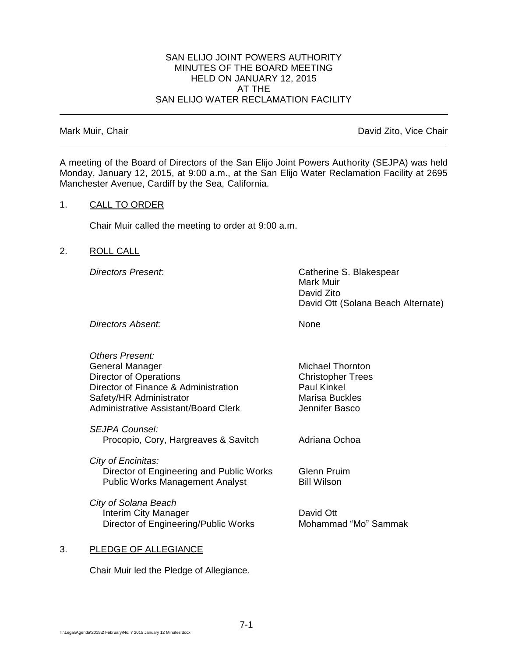#### SAN ELIJO JOINT POWERS AUTHORITY MINUTES OF THE BOARD MEETING HELD ON JANUARY 12, 2015 AT THE SAN ELIJO WATER RECLAMATION FACILITY

Mark Muir, Chair **David Zito, Vice Chair** David Zito, Vice Chair

A meeting of the Board of Directors of the San Elijo Joint Powers Authority (SEJPA) was held Monday, January 12, 2015, at 9:00 a.m., at the San Elijo Water Reclamation Facility at 2695 Manchester Avenue, Cardiff by the Sea, California.

## 1. CALL TO ORDER

Chair Muir called the meeting to order at 9:00 a.m.

## 2. ROLL CALL

*Directors Present*: Catherine S. Blakespear Mark Muir David Zito David Ott (Solana Beach Alternate)

*Directors Absent:* None

*Others Present:* General Manager Michael Thornton Director of Operations **Christopher Trees** Director of Finance & Administration Paul Kinkel Safety/HR Administrator Marisa Buckles Administrative Assistant/Board Clerk **Jennifer Basco** 

*SEJPA Counsel:* Procopio, Cory, Hargreaves & Savitch Adriana Ochoa

*City of Encinitas:* Director of Engineering and Public Works Glenn Pruim Public Works Management Analyst **Bill Wilson** 

*City of Solana Beach* Interim City Manager **David Ott** Director of Engineering/Public Works Mohammad "Mo" Sammak

## 3. PLEDGE OF ALLEGIANCE

Chair Muir led the Pledge of Allegiance.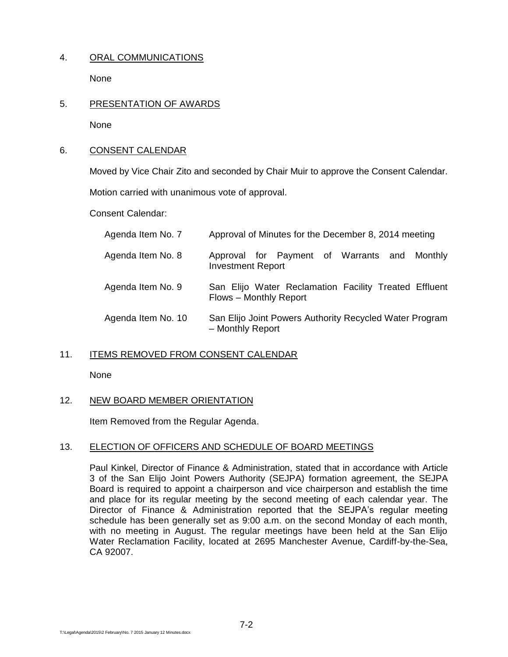# 4. ORAL COMMUNICATIONS

None

## 5. PRESENTATION OF AWARDS

None

## 6. CONSENT CALENDAR

Moved by Vice Chair Zito and seconded by Chair Muir to approve the Consent Calendar.

Motion carried with unanimous vote of approval.

Consent Calendar:

| Agenda Item No. 7  | Approval of Minutes for the December 8, 2014 meeting                            |
|--------------------|---------------------------------------------------------------------------------|
| Agenda Item No. 8  | Approval for Payment of Warrants and Monthly<br><b>Investment Report</b>        |
| Agenda Item No. 9  | San Elijo Water Reclamation Facility Treated Effluent<br>Flows - Monthly Report |
| Agenda Item No. 10 | San Elijo Joint Powers Authority Recycled Water Program<br>- Monthly Report     |

# 11. ITEMS REMOVED FROM CONSENT CALENDAR

None

# 12. NEW BOARD MEMBER ORIENTATION

Item Removed from the Regular Agenda.

## 13. ELECTION OF OFFICERS AND SCHEDULE OF BOARD MEETINGS

Paul Kinkel, Director of Finance & Administration, stated that in accordance with Article 3 of the San Elijo Joint Powers Authority (SEJPA) formation agreement, the SEJPA Board is required to appoint a chairperson and vice chairperson and establish the time and place for its regular meeting by the second meeting of each calendar year. The Director of Finance & Administration reported that the SEJPA's regular meeting schedule has been generally set as 9:00 a.m. on the second Monday of each month, with no meeting in August. The regular meetings have been held at the San Elijo Water Reclamation Facility, located at 2695 Manchester Avenue, Cardiff-by-the-Sea, CA 92007.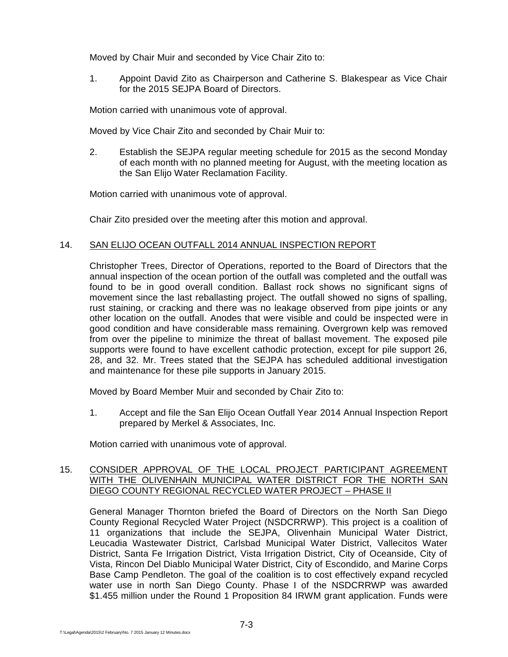Moved by Chair Muir and seconded by Vice Chair Zito to:

1. Appoint David Zito as Chairperson and Catherine S. Blakespear as Vice Chair for the 2015 SEJPA Board of Directors.

Motion carried with unanimous vote of approval.

Moved by Vice Chair Zito and seconded by Chair Muir to:

2. Establish the SEJPA regular meeting schedule for 2015 as the second Monday of each month with no planned meeting for August, with the meeting location as the San Elijo Water Reclamation Facility.

Motion carried with unanimous vote of approval.

Chair Zito presided over the meeting after this motion and approval.

## 14. SAN ELIJO OCEAN OUTFALL 2014 ANNUAL INSPECTION REPORT

Christopher Trees, Director of Operations, reported to the Board of Directors that the annual inspection of the ocean portion of the outfall was completed and the outfall was found to be in good overall condition. Ballast rock shows no significant signs of movement since the last reballasting project. The outfall showed no signs of spalling, rust staining, or cracking and there was no leakage observed from pipe joints or any other location on the outfall. Anodes that were visible and could be inspected were in good condition and have considerable mass remaining. Overgrown kelp was removed from over the pipeline to minimize the threat of ballast movement. The exposed pile supports were found to have excellent cathodic protection, except for pile support 26, 28, and 32. Mr. Trees stated that the SEJPA has scheduled additional investigation and maintenance for these pile supports in January 2015.

Moved by Board Member Muir and seconded by Chair Zito to:

1. Accept and file the San Elijo Ocean Outfall Year 2014 Annual Inspection Report prepared by Merkel & Associates, Inc.

Motion carried with unanimous vote of approval.

## 15. CONSIDER APPROVAL OF THE LOCAL PROJECT PARTICIPANT AGREEMENT WITH THE OLIVENHAIN MUNICIPAL WATER DISTRICT FOR THE NORTH SAN DIEGO COUNTY REGIONAL RECYCLED WATER PROJECT – PHASE II

General Manager Thornton briefed the Board of Directors on the North San Diego County Regional Recycled Water Project (NSDCRRWP). This project is a coalition of 11 organizations that include the SEJPA, Olivenhain Municipal Water District, Leucadia Wastewater District, Carlsbad Municipal Water District, Vallecitos Water District, Santa Fe Irrigation District, Vista Irrigation District, City of Oceanside, City of Vista, Rincon Del Diablo Municipal Water District, City of Escondido, and Marine Corps Base Camp Pendleton. The goal of the coalition is to cost effectively expand recycled water use in north San Diego County. Phase I of the NSDCRRWP was awarded \$1.455 million under the Round 1 Proposition 84 IRWM grant application. Funds were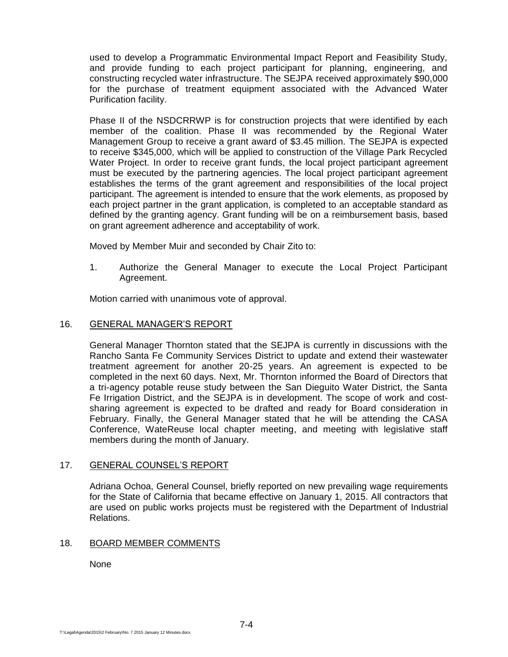used to develop a Programmatic Environmental Impact Report and Feasibility Study, and provide funding to each project participant for planning, engineering, and constructing recycled water infrastructure. The SEJPA received approximately \$90,000 for the purchase of treatment equipment associated with the Advanced Water Purification facility.

Phase II of the NSDCRRWP is for construction projects that were identified by each member of the coalition. Phase II was recommended by the Regional Water Management Group to receive a grant award of \$3.45 million. The SEJPA is expected to receive \$345,000, which will be applied to construction of the Village Park Recycled Water Project. In order to receive grant funds, the local project participant agreement must be executed by the partnering agencies. The local project participant agreement establishes the terms of the grant agreement and responsibilities of the local project participant. The agreement is intended to ensure that the work elements, as proposed by each project partner in the grant application, is completed to an acceptable standard as defined by the granting agency. Grant funding will be on a reimbursement basis, based on grant agreement adherence and acceptability of work.

Moved by Member Muir and seconded by Chair Zito to:

1. Authorize the General Manager to execute the Local Project Participant Agreement.

Motion carried with unanimous vote of approval.

## 16. GENERAL MANAGER'S REPORT

General Manager Thornton stated that the SEJPA is currently in discussions with the Rancho Santa Fe Community Services District to update and extend their wastewater treatment agreement for another 20-25 years. An agreement is expected to be completed in the next 60 days. Next, Mr. Thornton informed the Board of Directors that a tri-agency potable reuse study between the San Dieguito Water District, the Santa Fe Irrigation District, and the SEJPA is in development. The scope of work and costsharing agreement is expected to be drafted and ready for Board consideration in February. Finally, the General Manager stated that he will be attending the CASA Conference, WateReuse local chapter meeting, and meeting with legislative staff members during the month of January.

## 17. GENERAL COUNSEL'S REPORT

Adriana Ochoa, General Counsel, briefly reported on new prevailing wage requirements for the State of California that became effective on January 1, 2015. All contractors that are used on public works projects must be registered with the Department of Industrial Relations.

#### 18. BOARD MEMBER COMMENTS

None